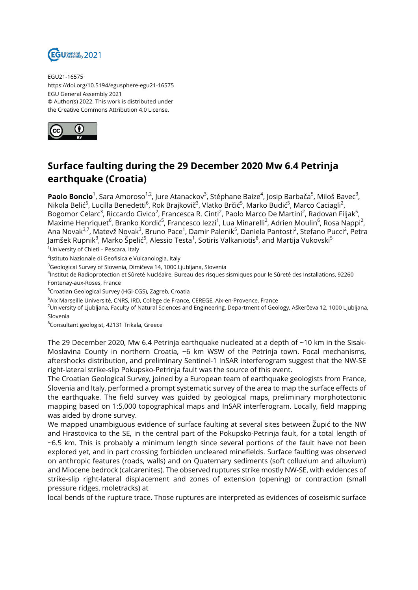

EGU21-16575 https://doi.org/10.5194/egusphere-egu21-16575 EGU General Assembly 2021 © Author(s) 2022. This work is distributed under the Creative Commons Attribution 4.0 License.



## **Surface faulting during the 29 December 2020 Mw 6.4 Petrinja earthquake (Croatia)**

**Paolo Boncio**<sup>1</sup>, Sara Amoroso<sup>1,2</sup>, Jure Atanackov<sup>3</sup>, Stéphane Baize<sup>4</sup>, Josip Barbača<sup>5</sup>, Miloš Bavec<sup>3</sup>, Nikola Belić<sup>5</sup>, Lucilla Benedetti<sup>6</sup>, Rok Brajkovič<sup>3</sup>, Vlatko Brčić<sup>5</sup>, Marko Budić<sup>5</sup>, Marco Caciagli<sup>2</sup>, Bogomor Celarc<sup>3</sup>, Riccardo Civico<sup>2</sup>, Francesca R. Cinti<sup>2</sup>, Paolo Marco De Martini<sup>2</sup>, Radovan Filjak<sup>5</sup>, Maxime Henriquet<sup>6</sup>, Branko Kordić<sup>5</sup>, Francesco lezzi<sup>1</sup>, Lua Minarelli<sup>2</sup>, Adrien Moulin<sup>6</sup>, Rosa Nappi<sup>2</sup>, Ana Novak<sup>3,7</sup>, Matevž Novak<sup>3</sup>, Bruno Pace<sup>1</sup>, Damir Palenik<sup>5</sup>, Daniela Pantosti<sup>2</sup>, Stefano Pucci<sup>2</sup>, Petra Jamšek Rupnik<sup>3</sup>, Marko Špelić<sup>5</sup>, Alessio Testa<sup>1</sup>, Sotiris Valkaniotis<sup>8</sup>, and Martija Vukovski<sup>5</sup>

<sup>1</sup>University of Chieti - Pescara, Italy

<sup>2</sup>lstituto Nazionale di Geofisica e Vulcanologia, Italy

<sup>3</sup>Geological Survey of Slovenia, Dimičeva 14, 1000 Liubliana, Slovenia

4 Institut de Radioprotection et Sûreté Nucléaire, Bureau des risques sismiques pour le Sûreté des Installations, 92260 Fontenay-aux-Roses, France

<sup>5</sup>Croatian Geological Survey (HGI-CGS), Zagreb, Croatia

<sup>6</sup>Aix Marseille Université, CNRS, IRD, Collège de France, CEREGE, Aix-en-Provence, France

<sup>7</sup>University of Ljubljana, Faculty of Natural Sciences and Engineering, Department of Geology, Aškerčeva 12, 1000 Ljubljana, Slovenia

<sup>8</sup>Consultant geologist, 42131 Trikala, Greece

The 29 December 2020, Mw 6.4 Petrinja earthquake nucleated at a depth of ~10 km in the Sisak-Moslavina County in northern Croatia, ~6 km WSW of the Petrinja town. Focal mechanisms, aftershocks distribution, and preliminary Sentinel-1 InSAR interferogram suggest that the NW-SE right-lateral strike-slip Pokupsko-Petrinja fault was the source of this event.

The Croatian Geological Survey, joined by a European team of earthquake geologists from France, Slovenia and Italy, performed a prompt systematic survey of the area to map the surface effects of the earthquake. The field survey was guided by geological maps, preliminary morphotectonic mapping based on 1:5,000 topographical maps and InSAR interferogram. Locally, field mapping was aided by drone survey.

We mapped unambiguous evidence of surface faulting at several sites between Župić to the NW and Hrastovica to the SE, in the central part of the Pokupsko-Petrinja fault, for a total length of ~6.5 km. This is probably a minimum length since several portions of the fault have not been explored yet, and in part crossing forbidden uncleared minefields. Surface faulting was observed on anthropic features (roads, walls) and on Quaternary sediments (soft colluvium and alluvium) and Miocene bedrock (calcarenites). The observed ruptures strike mostly NW-SE, with evidences of strike-slip right-lateral displacement and zones of extension (opening) or contraction (small pressure ridges, moletracks) at

local bends of the rupture trace. Those ruptures are interpreted as evidences of coseismic surface